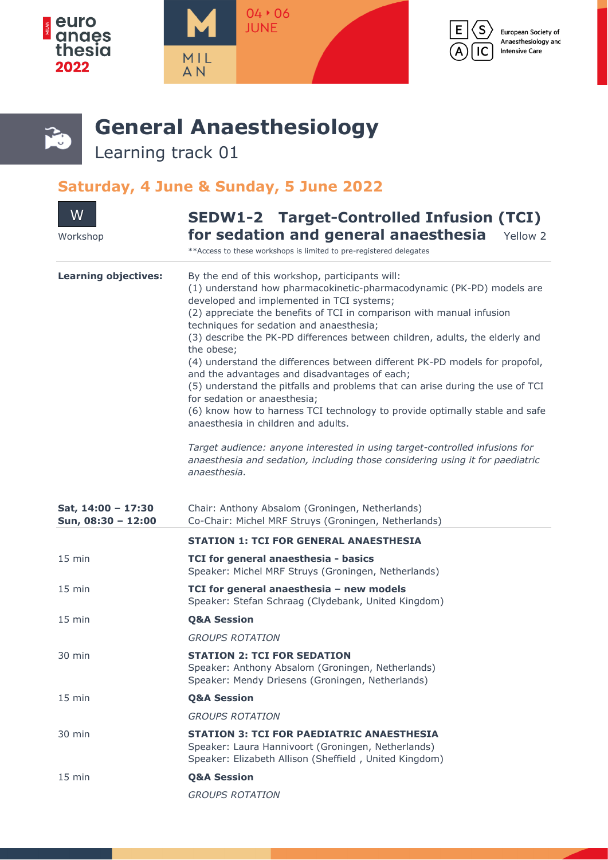







## **General Anaesthesiology**

Learning track 01

## **Saturday, 4 June & Sunday, 5 June 2022**

| W<br>Workshop                            | <b>SEDW1-2 Target-Controlled Infusion (TCI)</b><br>for sedation and general anaesthesia<br>Yellow 2                                                                                                                                                                                                                                                                                                                                                                                                                                                                                                                                                                                                                                                                                                                                                                                                                                             |
|------------------------------------------|-------------------------------------------------------------------------------------------------------------------------------------------------------------------------------------------------------------------------------------------------------------------------------------------------------------------------------------------------------------------------------------------------------------------------------------------------------------------------------------------------------------------------------------------------------------------------------------------------------------------------------------------------------------------------------------------------------------------------------------------------------------------------------------------------------------------------------------------------------------------------------------------------------------------------------------------------|
|                                          | ** Access to these workshops is limited to pre-registered delegates                                                                                                                                                                                                                                                                                                                                                                                                                                                                                                                                                                                                                                                                                                                                                                                                                                                                             |
| <b>Learning objectives:</b>              | By the end of this workshop, participants will:<br>(1) understand how pharmacokinetic-pharmacodynamic (PK-PD) models are<br>developed and implemented in TCI systems;<br>(2) appreciate the benefits of TCI in comparison with manual infusion<br>techniques for sedation and anaesthesia;<br>(3) describe the PK-PD differences between children, adults, the elderly and<br>the obese;<br>(4) understand the differences between different PK-PD models for propofol,<br>and the advantages and disadvantages of each;<br>(5) understand the pitfalls and problems that can arise during the use of TCI<br>for sedation or anaesthesia;<br>(6) know how to harness TCI technology to provide optimally stable and safe<br>anaesthesia in children and adults.<br>Target audience: anyone interested in using target-controlled infusions for<br>anaesthesia and sedation, including those considering using it for paediatric<br>anaesthesia. |
|                                          |                                                                                                                                                                                                                                                                                                                                                                                                                                                                                                                                                                                                                                                                                                                                                                                                                                                                                                                                                 |
| Sat, 14:00 - 17:30<br>Sun, 08:30 - 12:00 | Chair: Anthony Absalom (Groningen, Netherlands)<br>Co-Chair: Michel MRF Struys (Groningen, Netherlands)                                                                                                                                                                                                                                                                                                                                                                                                                                                                                                                                                                                                                                                                                                                                                                                                                                         |
|                                          | <b>STATION 1: TCI FOR GENERAL ANAESTHESIA</b>                                                                                                                                                                                                                                                                                                                                                                                                                                                                                                                                                                                                                                                                                                                                                                                                                                                                                                   |
| 15 min                                   | TCI for general anaesthesia - basics<br>Speaker: Michel MRF Struys (Groningen, Netherlands)                                                                                                                                                                                                                                                                                                                                                                                                                                                                                                                                                                                                                                                                                                                                                                                                                                                     |
| $15$ min                                 | TCI for general anaesthesia - new models<br>Speaker: Stefan Schraag (Clydebank, United Kingdom)                                                                                                                                                                                                                                                                                                                                                                                                                                                                                                                                                                                                                                                                                                                                                                                                                                                 |
| $15$ min                                 | <b>Q&amp;A Session</b>                                                                                                                                                                                                                                                                                                                                                                                                                                                                                                                                                                                                                                                                                                                                                                                                                                                                                                                          |
|                                          | <b>GROUPS ROTATION</b>                                                                                                                                                                                                                                                                                                                                                                                                                                                                                                                                                                                                                                                                                                                                                                                                                                                                                                                          |
| 30 min                                   | <b>STATION 2: TCI FOR SEDATION</b><br>Speaker: Anthony Absalom (Groningen, Netherlands)<br>Speaker: Mendy Driesens (Groningen, Netherlands)                                                                                                                                                                                                                                                                                                                                                                                                                                                                                                                                                                                                                                                                                                                                                                                                     |
| 15 min                                   | <b>Q&amp;A Session</b>                                                                                                                                                                                                                                                                                                                                                                                                                                                                                                                                                                                                                                                                                                                                                                                                                                                                                                                          |
|                                          | <b>GROUPS ROTATION</b>                                                                                                                                                                                                                                                                                                                                                                                                                                                                                                                                                                                                                                                                                                                                                                                                                                                                                                                          |
| 30 min                                   | <b>STATION 3: TCI FOR PAEDIATRIC ANAESTHESIA</b><br>Speaker: Laura Hannivoort (Groningen, Netherlands)<br>Speaker: Elizabeth Allison (Sheffield, United Kingdom)                                                                                                                                                                                                                                                                                                                                                                                                                                                                                                                                                                                                                                                                                                                                                                                |
| $15$ min                                 | <b>Q&amp;A Session</b>                                                                                                                                                                                                                                                                                                                                                                                                                                                                                                                                                                                                                                                                                                                                                                                                                                                                                                                          |
|                                          | <b>GROUPS ROTATION</b>                                                                                                                                                                                                                                                                                                                                                                                                                                                                                                                                                                                                                                                                                                                                                                                                                                                                                                                          |